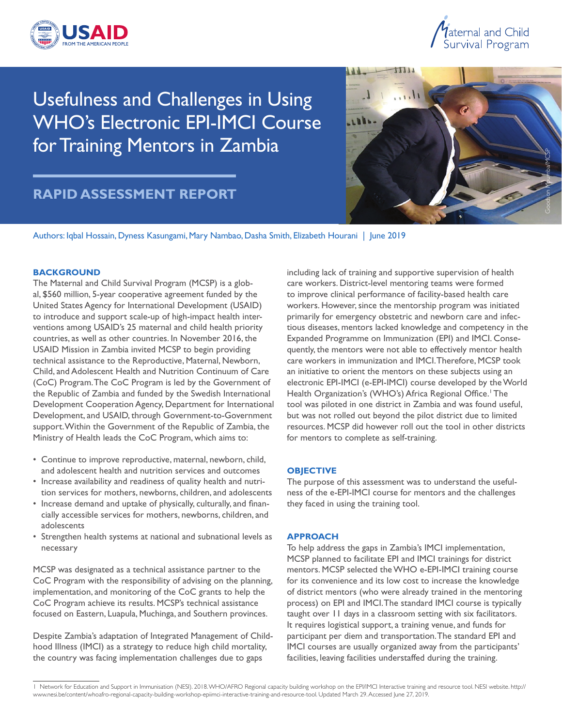



Usefulness and Challenges in Using WHO's Electronic EPI-IMCI Course for Training Mentors in Zambia

# **RAPID ASSESSMENT REPORT**



Authors: Iqbal Hossain, Dyness Kasungami, Mary Nambao, Dasha Smith, Elizabeth Hourani | June 2019

#### **BACKGROUND**

The Maternal and Child Survival Program (MCSP) is a global, \$560 million, 5-year cooperative agreement funded by the United States Agency for International Development (USAID) to introduce and support scale-up of high-impact health interventions among USAID's 25 maternal and child health priority countries, as well as other countries. In November 2016, the USAID Mission in Zambia invited MCSP to begin providing technical assistance to the Reproductive, Maternal, Newborn, Child, and Adolescent Health and Nutrition Continuum of Care (CoC) Program.The CoC Program is led by the Government of the Republic of Zambia and funded by the Swedish International Development Cooperation Agency, Department for International Development, and USAID, through Government-to-Government support.Within the Government of the Republic of Zambia, the Ministry of Health leads the CoC Program, which aims to:

- Continue to improve reproductive, maternal, newborn, child, and adolescent health and nutrition services and outcomes
- Increase availability and readiness of quality health and nutrition services for mothers, newborns, children, and adolescents
- Increase demand and uptake of physically, culturally, and fnancially accessible services for mothers, newborns, children, and adolescents
- Strengthen health systems at national and subnational levels as necessary

MCSP was designated as a technical assistance partner to the CoC Program with the responsibility of advising on the planning, implementation, and monitoring of the CoC grants to help the CoC Program achieve its results. MCSP's technical assistance focused on Eastern, Luapula, Muchinga, and Southern provinces.

Despite Zambia's adaptation of Integrated Management of Childhood Illness (IMCI) as a strategy to reduce high child mortality, the country was facing implementation challenges due to gaps

including lack of training and supportive supervision of health care workers. District-level mentoring teams were formed to improve clinical performance of facility-based health care workers. However, since the mentorship program was initiated primarily for emergency obstetric and newborn care and infectious diseases, mentors lacked knowledge and competency in the Expanded Programme on Immunization (EPI) and IMCI. Consequently, the mentors were not able to effectively mentor health care workers in immunization and IMCI.Therefore, MCSP took an initiative to orient the mentors on these subjects using an electronic EPI-IMCI (e-EPI-IMCI) course developed by the World Health Organization's (WHO's) Africa Regional Office.<sup>1</sup> The tool was piloted in one district in Zambia and was found useful, but was not rolled out beyond the pilot district due to limited resources. MCSP did however roll out the tool in other districts for mentors to complete as self-training.

#### **OBJECTIVE**

The purpose of this assessment was to understand the usefulness of the e-EPI-IMCI course for mentors and the challenges they faced in using the training tool.

#### **APPROACH**

To help address the gaps in Zambia's IMCI implementation, MCSP planned to facilitate EPI and IMCI trainings for district mentors. MCSP selected the WHO e-EPI-IMCI training course for its convenience and its low cost to increase the knowledge of district mentors (who were already trained in the mentoring process) on EPI and IMCI.The standard IMCI course is typically taught over 11 days in a classroom setting with six facilitators. It requires logistical support, a training venue, and funds for participant per diem and transportation.The standard EPI and IMCI courses are usually organized away from the participants' facilities, leaving facilities understaffed during the training.

<sup>1</sup> Network for Education and Support in Immunisation (NESI). 2018.WHO/AFRO Regional capacity building workshop on the EPI/IMCI Interactive training and resource tool. NESI website. http:// [www.nesi.be/content/whoafro-regional-capacity-building-workshop-epiimci-interactive-training-and-resource-tool.](www.nesi.be/content/whoafro-regional-capacity-building-workshop-epiimci-interactive-training-and-resource-tool) Updated March 29. Accessed June 27, 2019.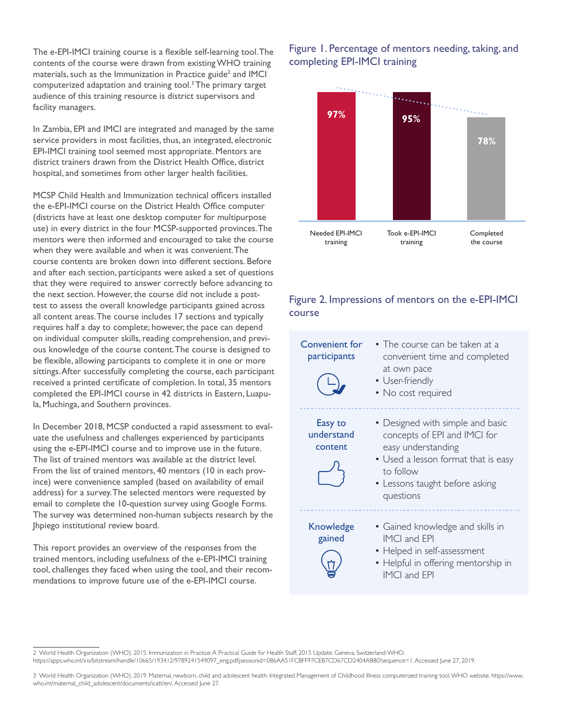The e-EPI-IMCI training course is a fexible self-learning tool.The contents of the course were drawn from existing WHO training materials, such as the Immunization in Practice guide<sup>2</sup> and IMCI computerized adaptation and training tool.3 The primary target audience of this training resource is district supervisors and facility managers.

In Zambia, EPI and IMCI are integrated and managed by the same service providers in most facilities, thus, an integrated, electronic EPI-IMCI training tool seemed most appropriate. Mentors are district trainers drawn from the District Health Office, district hospital, and sometimes from other larger health facilities.

MCSP Child Health and Immunization technical officers installed the e-EPI-IMCI course on the District Health Office computer (districts have at least one desktop computer for multipurpose use) in every district in the four MCSP-supported provinces.The mentors were then informed and encouraged to take the course when they were available and when it was convenient.The course contents are broken down into different sections. Before and after each section, participants were asked a set of questions that they were required to answer correctly before advancing to the next section. However, the course did not include a posttest to assess the overall knowledge participants gained across all content areas.The course includes 17 sections and typically requires half a day to complete; however, the pace can depend on individual computer skills, reading comprehension, and previous knowledge of the course content.The course is designed to be flexible, allowing participants to complete it in one or more sittings.After successfully completing the course, each participant received a printed certifcate of completion. In total, 35 mentors completed the EPI-IMCI course in 42 districts in Eastern, Luapula, Muchinga, and Southern provinces.

In December 2018, MCSP conducted a rapid assessment to evaluate the usefulness and challenges experienced by participants using the e-EPI-IMCI course and to improve use in the future. The list of trained mentors was available at the district level. From the list of trained mentors, 40 mentors (10 in each province) were convenience sampled (based on availability of email address) for a survey.The selected mentors were requested by email to complete the 10-question survey using Google Forms. The survey was determined non-human subjects research by the Jhpiego institutional review board.

This report provides an overview of the responses from the trained mentors, including usefulness of the e-EPI-IMCI training tool, challenges they faced when using the tool, and their recommendations to improve future use of the e-EPI-IMCI course.

## Figure 1. Percentage of mentors needing, taking, and completing EPI-IMCI training



## Figure 2. Impressions of mentors on the e-EPI-IMCI course

| Convenient for<br>participants   | • The course can be taken at a<br>convenient time and completed<br>at own pace<br>• User-friendly<br>• No cost required                                                                   |
|----------------------------------|-------------------------------------------------------------------------------------------------------------------------------------------------------------------------------------------|
| Easy to<br>understand<br>content | • Designed with simple and basic<br>concepts of EPI and IMCI for<br>easy understanding<br>• Used a lesson format that is easy<br>to follow<br>• Lessons taught before asking<br>questions |
| Knowledge<br>gained              | • Gained knowledge and skills in<br><b>IMCI</b> and FPI<br>• Helped in self-assessment<br>• Helpful in offering mentorship in<br>IMCI and EPI                                             |

2 World Health Organization (WHO). 2015. Immunization in Practice: A Practical Guide for Health Staff; 2015 Update. Geneva, Switzerland:WHO.

[https://apps.who.int/iris/bitstream/handle/10665/193412/9789241549097\\_eng.pdf;jsessionid=086AA51FCBFF97CEB7CD67CD2404AB80?sequence=1.](https://apps.who.int/iris/bitstream/handle/10665/193412/9789241549097_eng.pdf;jsessionid=086AA51FCBFF97CEB7CD67CD2404AB80?sequence=1) Accessed June 27, 2019.

<sup>3</sup> World Health Organization (WHO). 2019. Maternal, newborn, child and adolescent health: Integrated Management of Childhood Illness computerized training tool.WHO website. [https://www.](https://www) who.int/maternal\_child\_adolescent/documents/icatt/en/. Accessed June 27.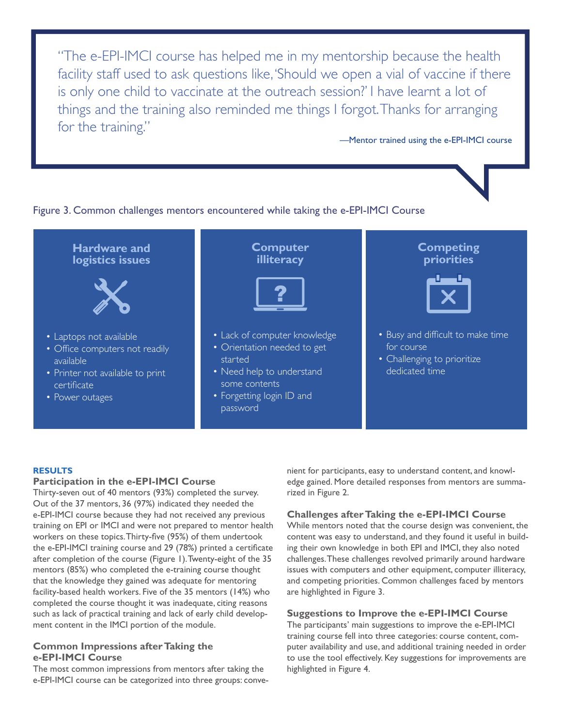"The e-EPI-IMCI course has helped me in my mentorship because the health facility staff used to ask questions like,'Should we open a vial of vaccine if there is only one child to vaccinate at the outreach session?' I have learnt a lot of things and the training also reminded me things I forgot.Thanks for arranging for the training."

—Mentor trained using the e-EPI-IMCI course

I

### Figure 3. Common challenges mentors encountered while taking the e-EPI-IMCI Course



#### **RESULTS**

#### **Participation in the e-EPI-IMCI Course**

Thirty-seven out of 40 mentors (93%) completed the survey. Out of the 37 mentors, 36 (97%) indicated they needed the e-EPI-IMCI course because they had not received any previous training on EPI or IMCI and were not prepared to mentor health workers on these topics. Thirty-five (95%) of them undertook the e-EPI-IMCI training course and 29 (78%) printed a certifcate after completion of the course (Figure 1).Twenty-eight of the 35 mentors (85%) who completed the e-training course thought that the knowledge they gained was adequate for mentoring facility-based health workers. Five of the 35 mentors (14%) who completed the course thought it was inadequate, citing reasons such as lack of practical training and lack of early child development content in the IMCI portion of the module.

#### **Common Impressions after Taking the e-EPI-IMCI Course**

The most common impressions from mentors after taking the e-EPI-IMCI course can be categorized into three groups: convenient for participants, easy to understand content, and knowledge gained. More detailed responses from mentors are summarized in Figure 2.

#### **Challenges after Taking the e-EPI-IMCI Course**

While mentors noted that the course design was convenient, the content was easy to understand, and they found it useful in building their own knowledge in both EPI and IMCI, they also noted challenges.These challenges revolved primarily around hardware issues with computers and other equipment, computer illiteracy, and competing priorities. Common challenges faced by mentors are highlighted in Figure 3.

#### **Suggestions to Improve the e-EPI-IMCI Course**

The participants' main suggestions to improve the e-EPI-IMCI training course fell into three categories: course content, computer availability and use, and additional training needed in order to use the tool effectively. Key suggestions for improvements are highlighted in Figure 4.